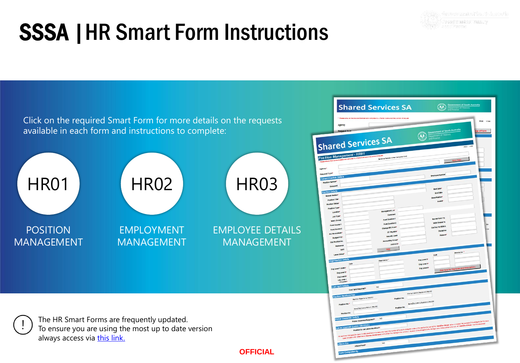# <span id="page-0-0"></span>SSSA **SSSA SSSA** SSSA |HR Smart Form Instructions



Click on the required Smart Form for more details on the requests available in each form and instructions to complete:



The HR Smart Forms are frequently updated. To ensure you are using the most up to date version always access via [this link.](https://sharedservices.sa.gov.au/) 

**OFFICIAL**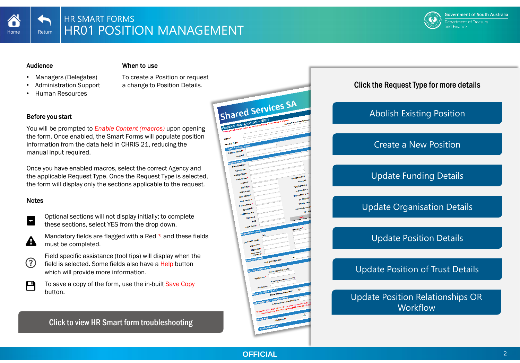<span id="page-1-0"></span>

#### Audience

#### When to use

- Managers (Delegates)
- Administration Support
- Human Resources

To create a Position or request a change to Position Details.

#### Before you start

You will be prompted to *Enable Content (macros)* upon opening the form. Once enabled, the Smart Forms will populate position information from the data held in CHRIS 21, reducing the manual input required.

Once you have enabled macros, select the correct Agency and the applicable Request Type. Once the Request Type is selected, the form will display only the sections applicable to the request.

#### Notes



 $\Omega$ 

 $\mathsf H$ 

Optional sections will not display initially; to complete these sections, select YES from the drop down.

Mandatory fields are flagged with a Red \* and these fields A must be completed.

Field specific assistance (tool tips) will display when the field is selected. Some fields also have a Help button which will provide more information.

To save a copy of the form, use the in-built Save Copy button.

[Click to view HR Smart form troubleshooting](#page-25-0)



# Click the Request Type for more details

# [Abolish Existing Position](#page-2-0)

# [Create a New Position](#page-3-0)

# [Update Funding Details](#page-4-0)

[Update Organisation Details](#page-5-0)

# [Update Position Details](#page-6-0)

# [Update Position of Trust Details](#page-7-0)

[Update Position Relationships OR](#page-8-0)  **Workflow**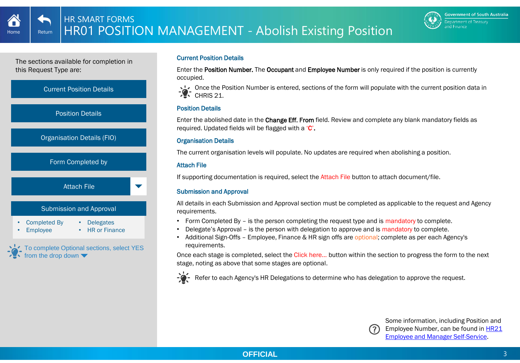

<span id="page-2-0"></span>



#### Current Position Details

Enter the Position Number. The Occupant and Employee Number is only required if the position is currently occupied.

Once the Position Number is entered, sections of the form will populate with the current position data in  $\mathcal{L}$  CHRIS 21.

# Position Details

Enter the abolished date in the Change Eff. From field. Review and complete any blank mandatory fields as required. Updated fields will be flagged with a 'C'.

#### Organisation Details

The current organisation levels will populate. No updates are required when abolishing a position.

# Attach File

If supporting documentation is required, select the Attach File button to attach document/file.

# Submission and Approval

All details in each Submission and Approval section must be completed as applicable to the request and Agency requirements.

- Form Completed By is the person completing the request type and is mandatory to complete.
- Delegate's Approval is the person with delegation to approve and is mandatory to complete.
- Additional Sign-Offs Employee, Finance & HR sign offs are optional; complete as per each Agency's requirements.

Once each stage is completed, select the Click here… button within the section to progress the form to the next stage, noting as above that some stages are optional.



Refer to each Agency's HR Delegations to determine who has delegation to approve the request.



**Employee and Manager Self-Service**. Some information, including Position and Employee Number, can be found in **HR21**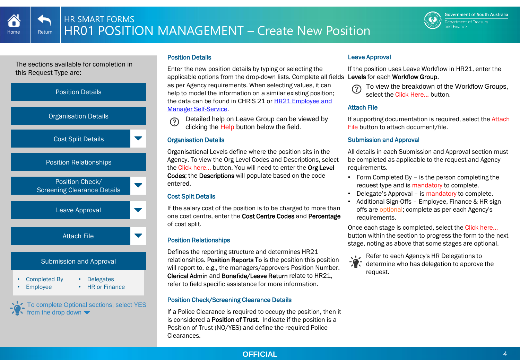<span id="page-3-0"></span>Home Return



# Position Details

applicable options from the drop-down lists. Complete all fields Levels for each Workflow Group. Enter the new position details by typing or selecting the as per Agency requirements. When selecting values, it can help to model the information on a similar existing position; [the data can be found in CHRIS 21 or HR21 Employee and](http://www.sharedservices.sa.gov.au/chris21-launch-hr21) Manager Self-Service.

Detailed help on Leave Group can be viewed by  $(2)$ clicking the Help button below the field.

# Organisation Details

Organisational Levels define where the position sits in the Agency. To view the Org Level Codes and Descriptions, select the Click here… button. You will need to enter the Org Level Codes; the Descriptions will populate based on the code entered.

# Cost Split Details

If the salary cost of the position is to be charged to more than one cost centre, enter the Cost Centre Codes and Percentage of cost split.

# Position Relationships

Defines the reporting structure and determines HR21 relationships. Position Reports To is the position this position will report to, e.g., the managers/approvers Position Number. Clerical Admin and Bonafide/Leave Return relate to HR21, refer to field specific assistance for more information.

# Position Check/Screening Clearance Details

If a Police Clearance is required to occupy the position, then it is considered a Position of Trust. Indicate if the position is a Position of Trust (NO/YES) and define the required Police Clearances.

# Leave Approval

If the position uses Leave Workflow in HR21, enter the



To view the breakdown of the Workflow Groups, select the Click Here… button.

# Attach File

If supporting documentation is required, select the Attach File button to attach document/file.

# Submission and Approval

All details in each Submission and Approval section must be completed as applicable to the request and Agency requirements.

- Form Completed By is the person completing the request type and is mandatory to complete.
- Delegate's Approval is mandatory to complete.
- Additional Sign-Offs Employee, Finance & HR sign offs are optional; complete as per each Agency's requirements.

Once each stage is completed, select the Click here… button within the section to progress the form to the next stage, noting as above that some stages are optional.

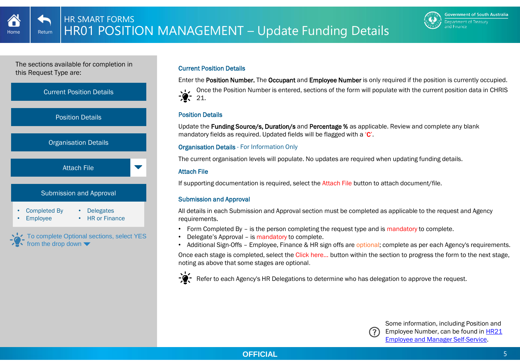

<span id="page-4-0"></span>

# Current Position Details

Enter the Position Number. The Occupant and Employee Number is only required if the position is currently occupied.

Once the Position Number is entered, sections of the form will populate with the current position data in CHRIS  $21.$ 

# Position Details

Update the Funding Source/s. Duration/s and Percentage % as applicable. Review and complete any blank mandatory fields as required. Updated fields will be flagged with a 'C'.

# Organisation Details - For Information Only

The current organisation levels will populate. No updates are required when updating funding details.

# Attach File

If supporting documentation is required, select the Attach File button to attach document/file.

# Submission and Approval

All details in each Submission and Approval section must be completed as applicable to the request and Agency requirements.

- Form Completed By is the person completing the request type and is mandatory to complete.
- Delegate's Approval is mandatory to complete.
- Additional Sign-Offs Employee, Finance & HR sign offs are optional; complete as per each Agency's requirements. Once each stage is completed, select the Click here… button within the section to progress the form to the next stage, noting as above that some stages are optional.



Refer to each Agency's HR Delegations to determine who has delegation to approve the request.



Some information, including Position and Employee Number, can be found in **HR21** [Employee and Manager Self-Service.](http://www.sharedservices.sa.gov.au/chris21-launch-hr21)

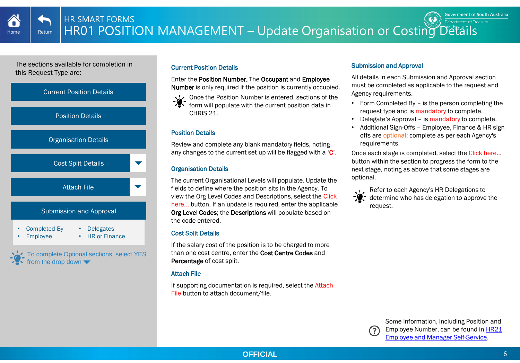<span id="page-5-0"></span>

To complete Optional sections, select YES from the drop down

# Current Position Details

Enter the Position Number. The Occupant and Employee Number is only required if the position is currently occupied.

Once the Position Number is entered, sections of the form will populate with the current position data in CHRIS 21.

# Position Details

Review and complete any blank mandatory fields, noting any changes to the current set up will be flagged with a 'C'.

# Organisation Details

The current Organisational Levels will populate. Update the fields to define where the position sits in the Agency. To view the Org Level Codes and Descriptions, select the Click here… button. If an update is required, enter the applicable Org Level Codes; the Descriptions will populate based on the code entered.

# Cost Split Details

If the salary cost of the position is to be charged to more than one cost centre, enter the Cost Centre Codes and Percentage of cost split.

# Attach File

If supporting documentation is required, select the Attach File button to attach document/file.

#### Submission and Approval

All details in each Submission and Approval section must be completed as applicable to the request and Agency requirements.

- Form Completed By is the person completing the request type and is mandatory to complete.
- Delegate's Approval is mandatory to complete.
- Additional Sign-Offs Employee, Finance & HR sign offs are optional; complete as per each Agency's requirements.

Once each stage is completed, select the Click here… button within the section to progress the form to the next stage, noting as above that some stages are optional.

Refer to each Agency's HR Delegations to determine who has delegation to approve the request.

> Some information, including Position and [Employee Number, can be found in HR21](http://www.sharedservices.sa.gov.au/chris21-launch-hr21)  Employee and Manager Self-Service.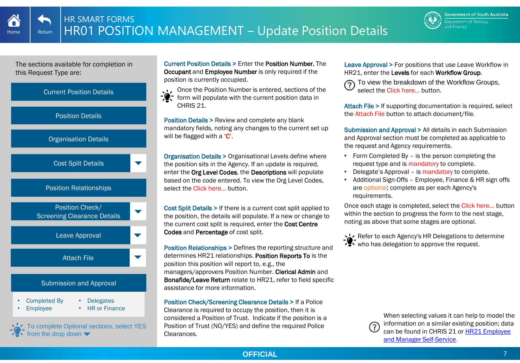

<span id="page-6-0"></span>

To complete Optional sections, select YES from the drop down

Current Position Details > Enter the Position Number. The Occupant and Employee Number is only required if the position is currently occupied.

Once the Position Number is entered, sections of the

form will populate with the current position data in CHRIS 21.

Position Details > Review and complete any blank mandatory fields, noting any changes to the current set up will be flagged with a  $C'$ .

Organisation Details > Organisational Levels define where the position sits in the Agency. If an update is required, enter the Org Level Codes, the Descriptions will populate based on the code entered. To view the Org Level Codes, select the Click here… button.

Cost Split Details > If there is a current cost split applied to the position, the details will populate. If a new or change to the current cost split is required, enter the Cost Centre Codes and Percentage of cost split.

Position Relationships > Defines the reporting structure and determines HR21 relationships. Position Reports To is the position this position will report to, e.g., the managers/approvers Position Number. Clerical Admin and Bonafide/Leave Return relate to HR21, refer to field specific assistance for more information.

Position Check/Screening Clearance Details > If a Police Clearance is required to occupy the position, then it is considered a Position of Trust. Indicate if the position is a Position of Trust (NO/YES) and define the required Police Clearances.

Leave Approval > For positions that use Leave Workflow in HR21, enter the Levels for each Workflow Group.

To view the breakdown of the Workflow Groups, select the Click here… button.

Attach File > If supporting documentation is required, select the Attach File button to attach document/file.

Submission and Approval > All details in each Submission and Approval section must be completed as applicable to the request and Agency requirements.

- Form Completed By is the person completing the request type and is mandatory to complete.
- Delegate's Approval is mandatory to complete.
- Additional Sign-Offs Employee, Finance & HR sign offs are optional; complete as per each Agency's requirements.

Once each stage is completed, select the Click here… button within the section to progress the form to the next stage. noting as above that some stages are optional.

Refer to each Agency's HR Delegations to determine who has delegation to approve the request.

> When selecting values it can help to model the information on a similar existing position; data [can be found in CHRIS 21 or HR21 Employee](http://www.sharedservices.sa.gov.au/chris21-launch-hr21) and Manager Self-Service.

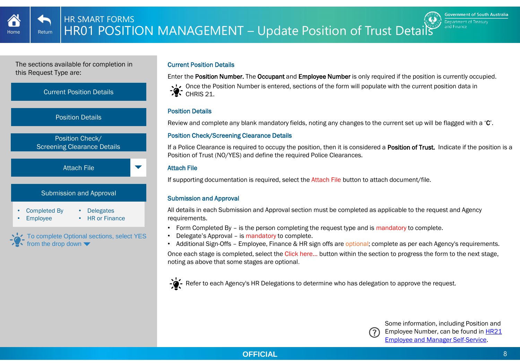

<span id="page-7-0"></span>

# Current Position Details

Enter the Position Number. The Occupant and Employee Number is only required if the position is currently occupied.

Once the Position Number is entered, sections of the form will populate with the current position data in  $\mathcal{L}$  CHRIS 21.

#### Position Details

Review and complete any blank mandatory fields, noting any changes to the current set up will be flagged with a 'C'.

# Position Check/Screening Clearance Details

If a Police Clearance is required to occupy the position, then it is considered a Position of Trust. Indicate if the position is a Position of Trust (NO/YES) and define the required Police Clearances.

# Attach File

If supporting documentation is required, select the Attach File button to attach document/file.

# Submission and Approval

All details in each Submission and Approval section must be completed as applicable to the request and Agency requirements.

- Form Completed By is the person completing the request type and is mandatory to complete.
- Delegate's Approval is mandatory to complete.
- Additional Sign-Offs Employee, Finance & HR sign offs are optional; complete as per each Agency's requirements. Once each stage is completed, select the Click here… button within the section to progress the form to the next stage, noting as above that some stages are optional.



For Refer to each Agency's HR Delegations to determine who has delegation to approve the request.



Some information, including Position and Employee Number, can be found in HR21 [Employee and Manager Self-Service.](http://www.sharedservices.sa.gov.au/chris21-launch-hr21)

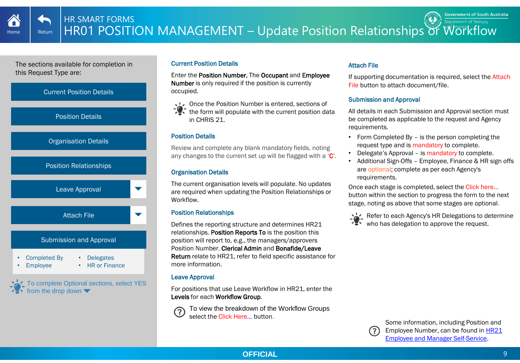<span id="page-8-0"></span>

# Current Position Details

Enter the Position Number. The Occupant and Employee Number is only required if the position is currently occupied.

Once the Position Number is entered, sections of  $\sqrt{2}$  the form will populate with the current position data in CHRIS 21.

# Position Details

Review and complete any blank mandatory fields, noting any changes to the current set up will be flagged with a 'C'.

# Organisation Details

The current organisation levels will populate. No updates are required when updating the Position Relationships or **Workflow** 

# Position Relationships

Defines the reporting structure and determines HR21 relationships. Position Reports To is the position this position will report to, e.g., the managers/approvers Position Number. Clerical Admin and Bonafide/Leave Return relate to HR21, refer to field specific assistance for more information.

# Leave Approval

For positions that use Leave Workflow in HR21, enter the Levels for each Workflow Group.

To view the breakdown of the Workflow Groups select the Click Here … button.

# Attach File

If supporting documentation is required, select the Attach File button to attach document/file.

# Submission and Approval

All details in each Submission and Approval section must be completed as applicable to the request and Agency requirements.

- Form Completed By is the person completing the request type and is mandatory to complete.
- Delegate's Approval is mandatory to complete.
- Additional Sign-Offs Employee, Finance & HR sign offs are optional; complete as per each Agency's requirements.

Once each stage is completed, select the Click here… button within the section to progress the form to the next stage, noting as above that some stages are optional.



Refer to each Agency's HR Delegations to determine who has delegation to approve the request.



Some information, including Position and Employee Number, can be found in HR21 [Employee and Manager Self-Service.](http://www.sharedservices.sa.gov.au/chris21-launch-hr21)

**OFFICIAL** 9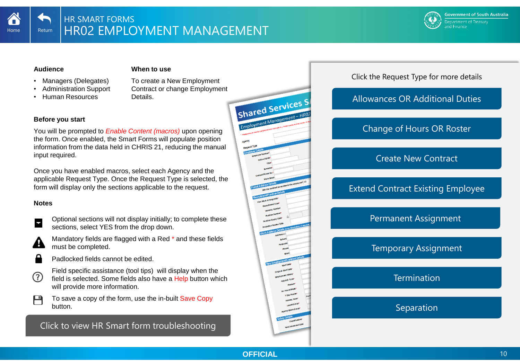<span id="page-9-0"></span>

#### **Audience**

#### **When to use**

• Managers (Delegates) • Administration Support

• Human Resources

To create a New Employment Contract or change Employment **Details** 



You will be prompted to *Enable Content (macros)* upon opening the form. Once enabled, the Smart Forms will populate position information from the data held in CHRIS 21, reducing the manual input required.

Once you have enabled macros, select each Agency and the applicable Request Type. Once the Request Type is selected, the form will display only the sections applicable to the request.

#### **Notes**



- Optional sections will not display initially; to complete these sections, select YES from the drop down.
- Mandatory fields are flagged with a Red \* and these fields A must be completed.
- 

Н

- Padlocked fields cannot be edited.
- Field specific assistance (tool tips) will display when the (?) field is selected. Some fields also have a Help button which will provide more information.

To save a copy of the form, use the in-built Save Copy button.

[Click to view HR Smart form troubleshooting](#page-25-0)



# Click the Request Type for more details

[Allowances OR Additional Duties](#page-10-0)

# [Change of Hours OR Roster](#page-11-0)

# [Create New Contract](#page-12-0)

[Extend Contract Existing Employee](#page-13-0)

[Permanent Assignment](#page-16-0)

[Temporary Assignment](#page-16-0)

**[Termination](#page-16-0)** 

[Separation](#page-18-0)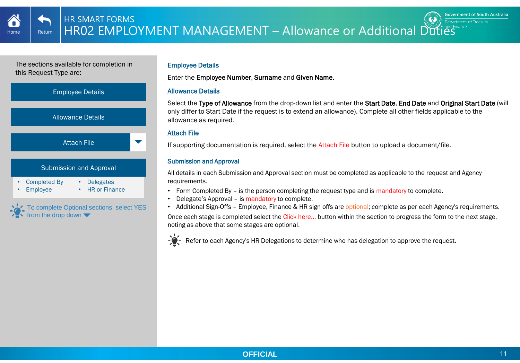<span id="page-10-0"></span>

# Employee Details

Enter the Employee Number, Surname and Given Name.

# Allowance Details

Select the Type of Allowance from the drop-down list and enter the Start Date, End Date and Original Start Date (will only differ to Start Date if the request is to extend an allowance). Complete all other fields applicable to the allowance as required.

# Attach File

If supporting documentation is required, select the Attach File button to upload a document/file.

# Submission and Approval

All details in each Submission and Approval section must be completed as applicable to the request and Agency requirements.

- Form Completed By is the person completing the request type and is mandatory to complete.
- Delegate's Approval is mandatory to complete.
- Additional Sign-Offs Employee, Finance & HR sign offs are optional; complete as per each Agency's requirements.

Once each stage is completed select the Click here… button within the section to progress the form to the next stage, noting as above that some stages are optional.

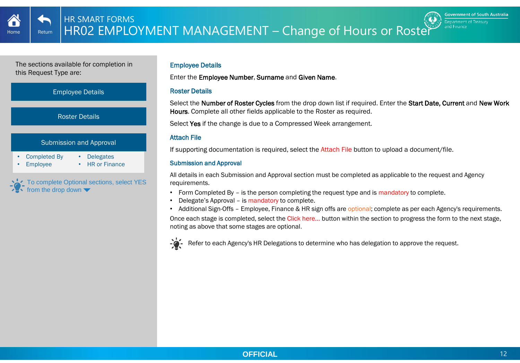<span id="page-11-0"></span>

#### Employee Details

Enter the Employee Number, Surname and Given Name.

# Roster Details

Select the Number of Roster Cycles from the drop down list if required. Enter the Start Date, Current and New Work Hours. Complete all other fields applicable to the Roster as required.

Select Yes if the change is due to a Compressed Week arrangement.

#### Attach File

If supporting documentation is required, select the Attach File button to upload a document/file.

# Submission and Approval

All details in each Submission and Approval section must be completed as applicable to the request and Agency requirements.

- Form Completed By is the person completing the request type and is mandatory to complete.
- Delegate's Approval is mandatory to complete.
- Additional Sign-Offs Employee, Finance & HR sign offs are optional; complete as per each Agency's requirements.

Once each stage is completed, select the Click here… button within the section to progress the form to the next stage, noting as above that some stages are optional.



Refer to each Agency's HR Delegations to determine who has delegation to approve the request.

**Government of South Australia** Department of Treasury and Finance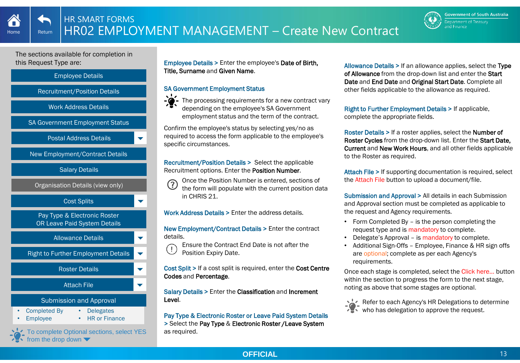

<span id="page-12-0"></span>

To complete Optional sections, select YES from the drop down  $\blacktriangledown$ 

Employee Details > Enter the employee's Date of Birth, Title, Surname and Given Name.

# SA Government Employment Status



depending on the employee's SA Government employment status and the term of the contract.

Confirm the employee's status by selecting yes/no as required to access the form applicable to the employee's specific circumstances.

Recruitment/Position Details > Select the applicable Recruitment options. Enter the Position Number.



Once the Position Number is entered, sections of the form will populate with the current position data

in CHRIS 21.

Work Address Details > Enter the address details.

New Employment/Contract Details > Enter the contract details.

Ensure the Contract End Date is not after the  $\left(\begin{smallmatrix} 1\\ 1\end{smallmatrix}\right)$ Position Expiry Date.

Cost Split > If a cost split is required, enter the Cost Centre Codes and Percentage.

Salary Details > Enter the Classification and Increment Level.

Pay Type & Electronic Roster or Leave Paid System Details > Select the Pay Type & Electronic Roster /Leave System as required.

Allowance Details > If an allowance applies, select the Type of Allowance from the drop-down list and enter the Start Date and End Date and Original Start Date. Complete all other fields applicable to the allowance as required.

Right to Further Employment Details > If applicable, complete the appropriate fields.

Roster Details > If a roster applies, select the Number of Roster Cycles from the drop-down list. Enter the Start Date, Current and New Work Hours, and all other fields applicable to the Roster as required.

Attach File > If supporting documentation is required, select the Attach File button to upload a document/file.

Submission and Approval > All details in each Submission and Approval section must be completed as applicable to the request and Agency requirements.

- Form Completed By is the person completing the request type and is mandatory to complete.
- Delegate's Approval is mandatory to complete.
- Additional Sign-Offs Employee, Finance & HR sign offs are optional; complete as per each Agency's requirements.

Once each stage is completed, select the Click here… button within the section to progress the form to the next stage, noting as above that some stages are optional.

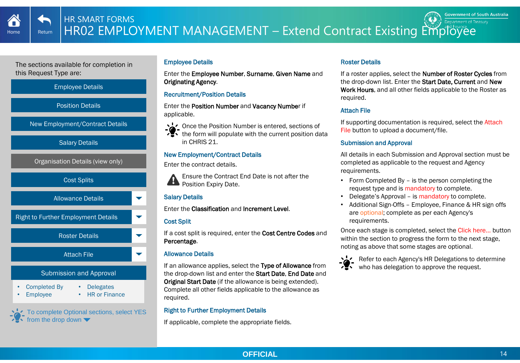<span id="page-13-0"></span>



To complete Optional sections, select YES from the drop down  $\blacktriangledown$ 

# Employee Details

Enter the Employee Number, Surname, Given Name and Originating Agency.

# Recruitment/Position Details

Enter the Position Number and Vacancy Number if applicable.

- Once the Position Number is entered, sections of
- the form will populate with the current position data in CHRIS 21.

# New Employment/Contract Details

Enter the contract details.

Ensure the Contract End Date is not after the **Position Expiry Date.** 

# Salary Details

Enter the Classification and Increment Level.

# Cost Split

If a cost split is required, enter the Cost Centre Codes and Percentage.

# Allowance Details

If an allowance applies, select the Type of Allowance from the drop-down list and enter the Start Date. End Date and Original Start Date (if the allowance is being extended). Complete all other fields applicable to the allowance as required.

# Right to Further Employment Details

If applicable, complete the appropriate fields.

# Roster Details

If a roster applies, select the Number of Roster Cycles from the drop-down list. Enter the Start Date, Current and New Work Hours, and all other fields applicable to the Roster as required.

# Attach File

If supporting documentation is required, select the Attach File button to upload a document/file.

# Submission and Approval

All details in each Submission and Approval section must be completed as applicable to the request and Agency requirements.

- Form Completed By is the person completing the request type and is mandatory to complete.
- Delegate's Approval is mandatory to complete.
- Additional Sign-Offs Employee, Finance & HR sign offs are optional; complete as per each Agency's requirements.

Once each stage is completed, select the Click here… button within the section to progress the form to the next stage. noting as above that some stages are optional.

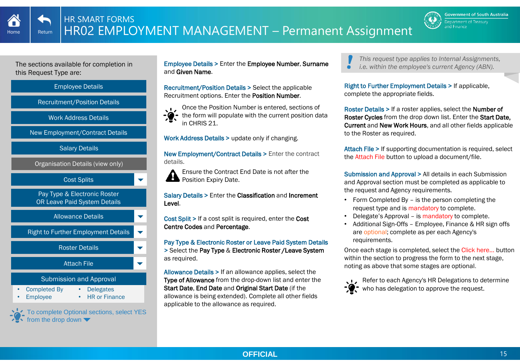







To complete Optional sections, select YES from the drop down  $\blacktriangledown$ 

Employee Details > Enter the Employee Number, Surname and Given Name.

Recruitment/Position Details > Select the applicable Recruitment options. Enter the Position Number.



Once the Position Number is entered, sections of the form will populate with the current position data in CHRIS 21.

Work Address Details > update only if changing.

New Employment/Contract Details > Enter the contract details.

Ensure the Contract End Date is not after the Position Expiry Date. 6

Salary Details > Enter the Classification and Increment Level.

Cost Split > If a cost split is required, enter the Cost Centre Codes and Percentage.

Pay Type & Electronic Roster or Leave Paid System Details > Select the Pay Type & Electronic Roster /Leave System as required.

Allowance Details > If an allowance applies, select the Type of Allowance from the drop-down list and enter the Start Date, End Date and Original Start Date (if the allowance is being extended). Complete all other fields applicable to the allowance as required.

*This request type applies to Internal Assignments, i.e. within the employee's current Agency (ABN).*

Right to Further Employment Details > If applicable, complete the appropriate fields.

Roster Details > If a roster applies, select the Number of Roster Cycles from the drop down list. Enter the Start Date, Current and New Work Hours, and all other fields applicable to the Roster as required.

Attach File > If supporting documentation is required, select the Attach File button to upload a document/file.

Submission and Approval > All details in each Submission and Approval section must be completed as applicable to the request and Agency requirements.

- Form Completed By is the person completing the request type and is mandatory to complete.
- Delegate's Approval is mandatory to complete.
- Additional Sign-Offs Employee, Finance & HR sign offs are optional; complete as per each Agency's requirements.

Once each stage is completed, select the Click here… button within the section to progress the form to the next stage. noting as above that some stages are optional.



ŏ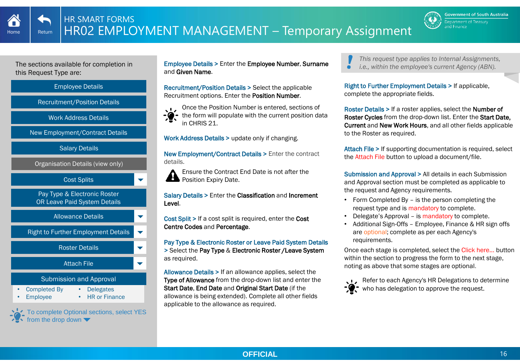







To complete Optional sections, select YES from the drop down  $\blacktriangledown$ 

Employee Details > Enter the Employee Number, Surname and Given Name.

Recruitment/Position Details > Select the applicable Recruitment options. Enter the Position Number.



Once the Position Number is entered, sections of the form will populate with the current position data in CHRIS 21.

Work Address Details > update only if changing.

New Employment/Contract Details > Enter the contract details.

Ensure the Contract End Date is not after the Position Expiry Date. 6

Salary Details > Enter the Classification and Increment Level.

Cost Split > If a cost split is required, enter the Cost Centre Codes and Percentage.

Pay Type & Electronic Roster or Leave Paid System Details > Select the Pay Type & Electronic Roster /Leave System as required.

Allowance Details > If an allowance applies, select the Type of Allowance from the drop-down list and enter the Start Date, End Date and Original Start Date (if the allowance is being extended). Complete all other fields applicable to the allowance as required.

*This request type applies to Internal Assignments, i.e., within the employee's current Agency (ABN).*

Right to Further Employment Details > If applicable, complete the appropriate fields.

Roster Details > If a roster applies, select the Number of Roster Cycles from the drop-down list. Enter the Start Date, Current and New Work Hours, and all other fields applicable to the Roster as required.

Attach File > If supporting documentation is required, select the Attach File button to upload a document/file.

Submission and Approval > All details in each Submission and Approval section must be completed as applicable to the request and Agency requirements.

- Form Completed By is the person completing the request type and is mandatory to complete.
- Delegate's Approval is mandatory to complete.
- Additional Sign-Offs Employee, Finance & HR sign offs are optional; complete as per each Agency's requirements.

Once each stage is completed, select the Click here… button within the section to progress the form to the next stage. noting as above that some stages are optional.



ŏ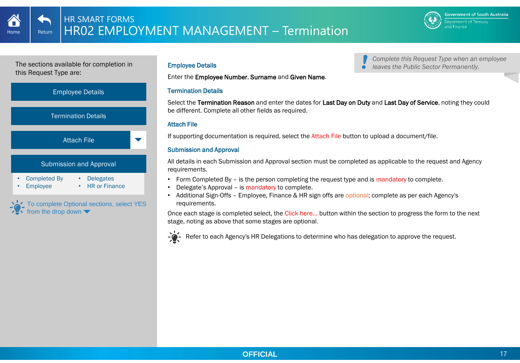*Complete this Request Type when an employee* 

*leaves the Public Sector Permanently.*

<span id="page-16-0"></span>The sections available for completion in this Request Type are:



Enter the Employee Number, Surname and Given Name.

#### Termination Details

Select the Termination Reason and enter the dates for Last Day on Duty and Last Day of Service, noting they could be different. Complete all other fields as required.

# Attach File

If supporting documentation is required, select the Attach File button to upload a document/file.

# Submission and Approval

All details in each Submission and Approval section must be completed as applicable to the request and Agency requirements.

- Form Completed By is the person completing the request type and is mandatory to complete.
- Delegate's Approval is mandatory to complete.
- Additional Sign-Offs Employee, Finance & HR sign offs are optional; complete as per each Agency's requirements.

Once each stage is completed select, the Click here… button within the section to progress the form to the next stage, noting as above that some stages are optional.



Refer to each Agency's HR Delegations to determine who has delegation to approve the request.

# Employee Details

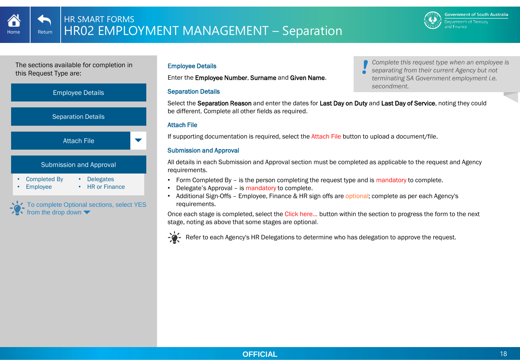*Complete this request type when an employee is separating from their current Agency but not terminating SA Government employment i.e.* 

*secondment.*

The sections available for completion in this Request Type are:



To complete Optional sections, select YES from the drop down

# Employee Details

Enter the Employee Number, Surname and Given Name.

#### Separation Details

Select the Separation Reason and enter the dates for Last Day on Duty and Last Day of Service, noting they could be different. Complete all other fields as required.

# Attach File

If supporting documentation is required, select the Attach File button to upload a document/file.

# Submission and Approval

All details in each Submission and Approval section must be completed as applicable to the request and Agency requirements.

- Form Completed By is the person completing the request type and is mandatory to complete.
- Delegate's Approval is mandatory to complete.
- Additional Sign-Offs Employee, Finance & HR sign offs are optional; complete as per each Agency's requirements.

Once each stage is completed, select the Click here… button within the section to progress the form to the next stage, noting as above that some stages are optional.



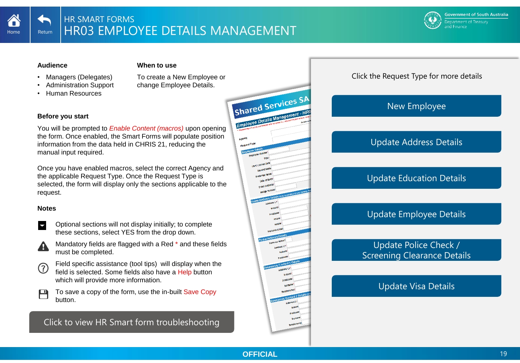<span id="page-18-0"></span>

#### **Audience**

#### **When to use**

- Managers (Delegates)
- Administration Support
- Human Resources

To create a New Employee or change Employee Details.

# Shared Services SP Employee De **Avenue**

# **Before you start**

You will be prompted to *Enable Content (macros)* upon opening the form. Once enabled, the Smart Forms will populate position information from the data held in CHRIS 21, reducing the manual input required.

Once you have enabled macros, select the correct Agency and the applicable Request Type. Once the Request Type is selected, the form will display only the sections applicable to the request.

# **Notes**

- Optional sections will not display initially; to complete these sections, select YES from the drop down.
- Mandatory fields are flagged with a Red \* and these fields must be completed.
- Field specific assistance (tool tips) will display when the <u>(?)</u> field is selected. Some fields also have a Help button which will provide more information.

 $\mathsf{P}$ To save a copy of the form, use the in-built Save Copy button.

[Click to view HR Smart form troubleshooting](#page-25-0)

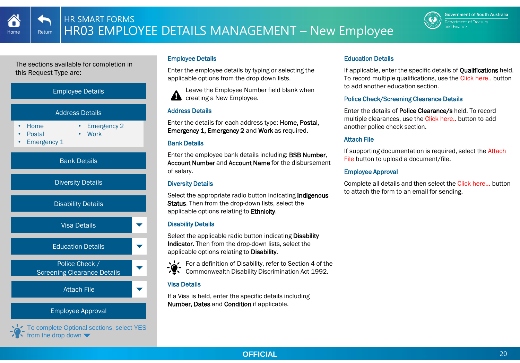<span id="page-19-0"></span>



To complete Optional sections, select YES from the drop down  $\blacktriangledown$ 

# Employee Details

Enter the employee details by typing or selecting the applicable options from the drop down lists.

Leave the Employee Number field blank when **creating a New Employee.** 

# Address Details

Enter the details for each address type: Home, Postal, Emergency 1, Emergency 2 and Work as required.

# Bank Details

Enter the employee bank details including: BSB Number, Account Number and Account Name for the disbursement of salary.

# Diversity Details

Select the appropriate radio button indicating Indigenous Status. Then from the drop-down lists, select the applicable options relating to Ethnicity.

# Disability Details

Select the applicable radio button indicating Disability Indicator. Then from the drop-down lists, select the applicable options relating to Disability.



For a definition of Disability, refer to Section 4 of the Commonwealth Disability Discrimination Act 1992.

# Visa Details

If a Visa is held, enter the specific details including Number, Dates and Condition if applicable.

# Education Details

If applicable, enter the specific details of Qualifications held. To record multiple qualifications, use the Click here.. button to add another education section.

# Police Check/Screening Clearance Details

Enter the details of Police Clearance/s held. To record multiple clearances, use the Click here.. button to add another police check section.

# Attach File

If supporting documentation is required, select the Attach File button to upload a document/file.

# Employee Approval

Complete all details and then select the Click here… button to attach the form to an email for sending.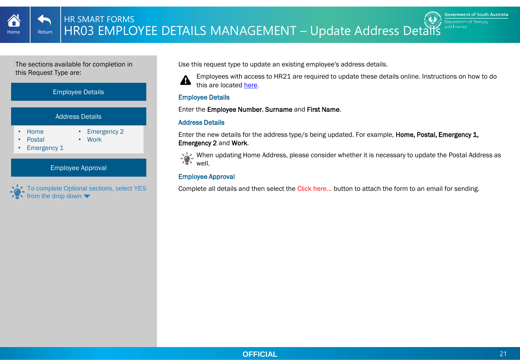<span id="page-20-0"></span>



To complete Optional sections, select YES from the drop down

Use this request type to update an existing employee's address details.

A

Employees with access to HR21 are required to update these details online. Instructions on how to do this are located [here.](http://www.sharedservices.sa.gov.au/sites/default/files/payroll/chris21/training/QRG-HR21-Address-Details.pdf)

# Employee Details

Enter the Employee Number, Surname and First Name.

# Address Details

Enter the new details for the address type/s being updated. For example, **Home, Postal, Emergency 1,** Emergency 2 and Work.

When updating Home Address, please consider whether it is necessary to update the Postal Address as well.

# Employee Approval

Complete all details and then select the Click here... button to attach the form to an email for sending.



**Government of South Australia** 

Department of Treasury and Finance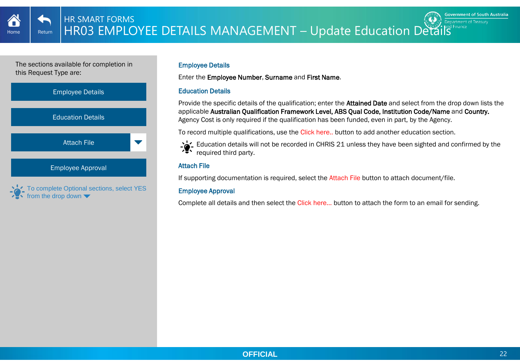<span id="page-21-0"></span>



#### Employee Details

Enter the Employee Number, Surname and First Name.

# Education Details

Provide the specific details of the qualification; enter the **Attained Date** and select from the drop down lists the applicable Australian Qualification Framework Level, ABS Qual Code, Institution Code/Name and Country. Agency Cost is only required if the qualification has been funded, even in part, by the Agency.

To record multiple qualifications, use the Click here.. button to add another education section.



# Attach File

If supporting documentation is required, select the Attach File button to attach document/file.

# Employee Approval

Complete all details and then select the Click here... button to attach the form to an email for sending.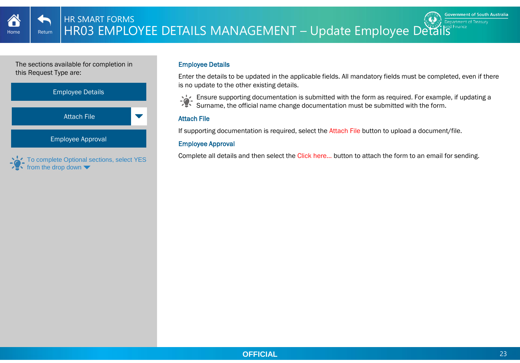<span id="page-22-0"></span>**THE STARE STARE STARE DETAILS MANAGEMENT** – Update Employee Details HR SMART FORMS

The sections available for completion in this Request Type are:



#### Employee Details

Enter the details to be updated in the applicable fields. All mandatory fields must be completed, even if there is no update to the other existing details.



Ensure supporting documentation is submitted with the form as required. For example, if updating a Surname, the official name change documentation must be submitted with the form.

# Attach File

If supporting documentation is required, select the Attach File button to upload a document/file.

# Employee Approval

Complete all details and then select the Click here... button to attach the form to an email for sending.



**Government of South Australia** Department of Treasury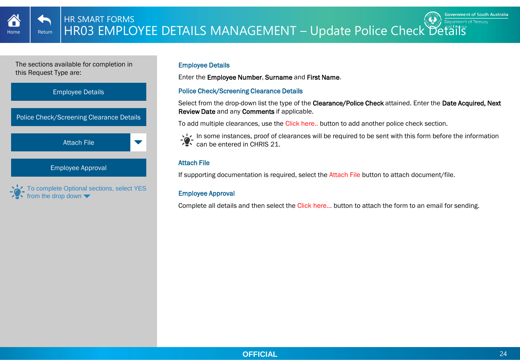<span id="page-23-0"></span>



#### Employee Details

Enter the Employee Number, Surname and First Name.

# Police Check/Screening Clearance Details

Select from the drop-down list the type of the Clearance/Police Check attained. Enter the Date Acquired, Next Review Date and any Comments if applicable.

To add multiple clearances, use the Click here.. button to add another police check section.



In some instances, proof of clearances will be required to be sent with this form before the information **Can be entered in CHRIS 21.** 

# Attach File

If supporting documentation is required, select the Attach File button to attach document/file.

# Employee Approval

Complete all details and then select the Click here... button to attach the form to an email for sending.

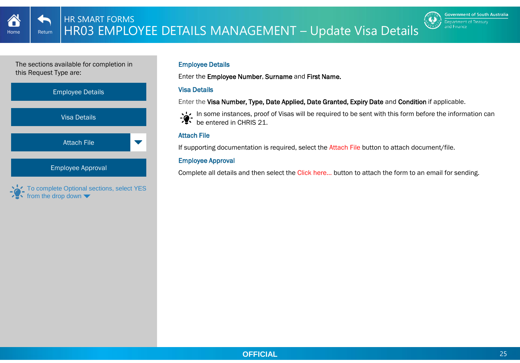<span id="page-24-0"></span>





To complete Optional sections, select YES from the drop down

# Employee Details

Enter the Employee Number, Surname and First Name.

# Visa Details

Enter the Visa Number, Type, Date Applied, Date Granted, Expiry Date and Condition if applicable.

In some instances, proof of Visas will be required to be sent with this form before the information can be entered in CHRIS 21.

# Attach File

If supporting documentation is required, select the Attach File button to attach document/file.

# Employee Approval

Complete all details and then select the Click here... button to attach the form to an email for sending.